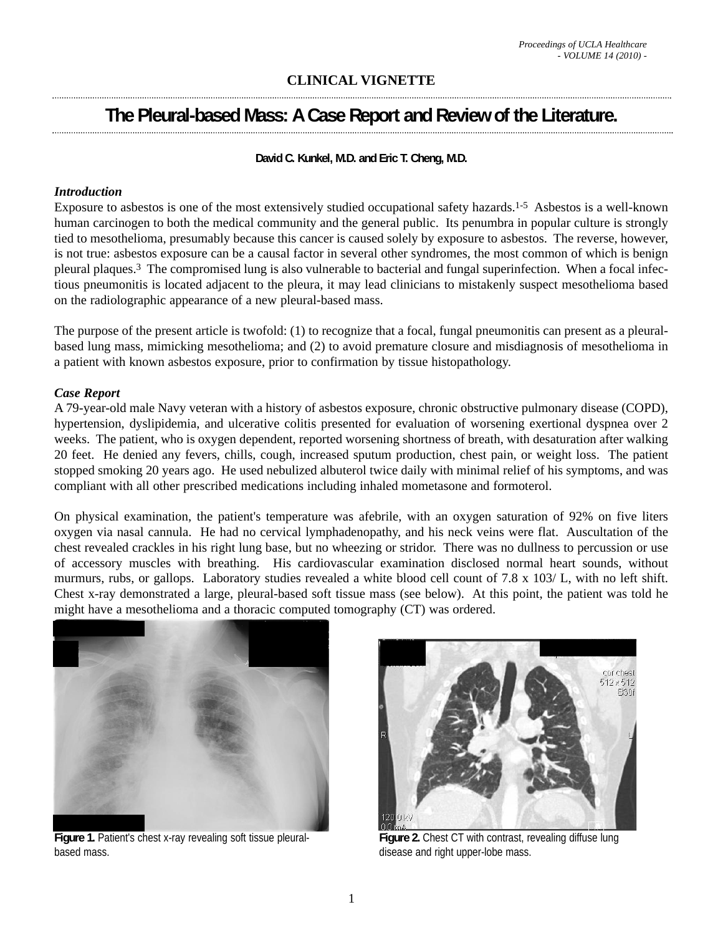## **CLINICAL VIGNETTE**

# **The Pleural-based Mass: A Case Report and Review of the Literature.**

**David C. Kunkel, M.D. and Eric T. Cheng, M.D.** 

### *Introduction*

Exposure to asbestos is one of the most extensively studied occupational safety hazards.1-5 Asbestos is a well-known human carcinogen to both the medical community and the general public. Its penumbra in popular culture is strongly tied to mesothelioma, presumably because this cancer is caused solely by exposure to asbestos. The reverse, however, is not true: asbestos exposure can be a causal factor in several other syndromes, the most common of which is benign pleural plaques.3 The compromised lung is also vulnerable to bacterial and fungal superinfection. When a focal infectious pneumonitis is located adjacent to the pleura, it may lead clinicians to mistakenly suspect mesothelioma based on the radiolographic appearance of a new pleural-based mass.

The purpose of the present article is twofold: (1) to recognize that a focal, fungal pneumonitis can present as a pleuralbased lung mass, mimicking mesothelioma; and (2) to avoid premature closure and misdiagnosis of mesothelioma in a patient with known asbestos exposure, prior to confirmation by tissue histopathology.

#### *Case Report*

A 79-year-old male Navy veteran with a history of asbestos exposure, chronic obstructive pulmonary disease (COPD), hypertension, dyslipidemia, and ulcerative colitis presented for evaluation of worsening exertional dyspnea over 2 weeks. The patient, who is oxygen dependent, reported worsening shortness of breath, with desaturation after walking 20 feet. He denied any fevers, chills, cough, increased sputum production, chest pain, or weight loss. The patient stopped smoking 20 years ago. He used nebulized albuterol twice daily with minimal relief of his symptoms, and was compliant with all other prescribed medications including inhaled mometasone and formoterol.

On physical examination, the patient's temperature was afebrile, with an oxygen saturation of 92% on five liters oxygen via nasal cannula. He had no cervical lymphadenopathy, and his neck veins were flat. Auscultation of the chest revealed crackles in his right lung base, but no wheezing or stridor. There was no dullness to percussion or use of accessory muscles with breathing. His cardiovascular examination disclosed normal heart sounds, without murmurs, rubs, or gallops. Laboratory studies revealed a white blood cell count of 7.8 x 103/ L, with no left shift. Chest x-ray demonstrated a large, pleural-based soft tissue mass (see below). At this point, the patient was told he might have a mesothelioma and a thoracic computed tomography (CT) was ordered.



**Figure 1.** Patient's chest x-ray revealing soft tissue pleuralbased mass.



**Figure 2.** Chest CT with contrast, revealing diffuse lung disease and right upper-lobe mass.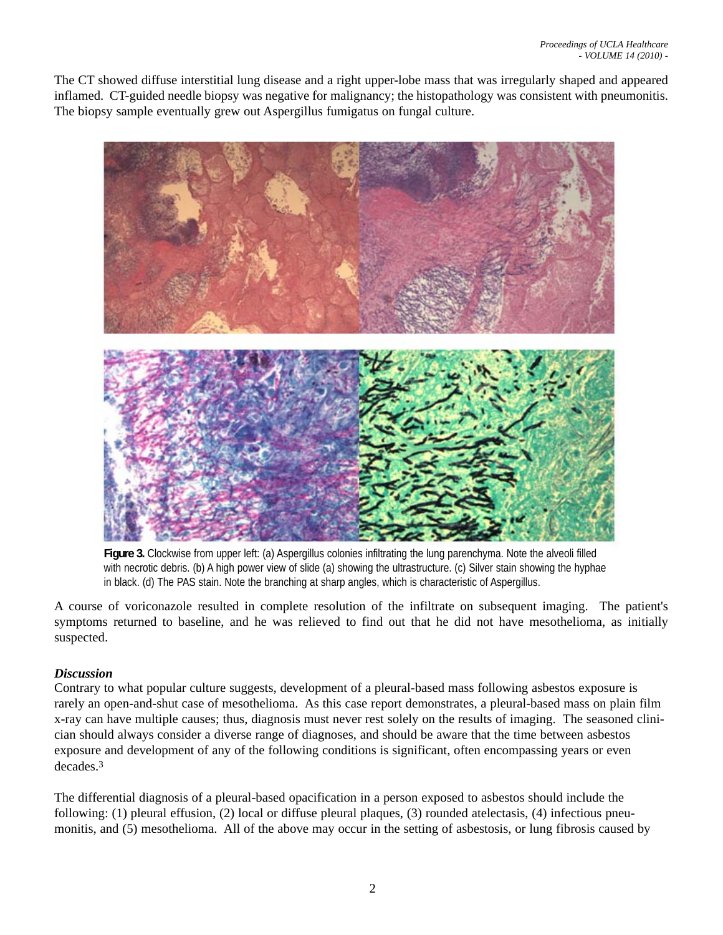The CT showed diffuse interstitial lung disease and a right upper-lobe mass that was irregularly shaped and appeared inflamed. CT-guided needle biopsy was negative for malignancy; the histopathology was consistent with pneumonitis. The biopsy sample eventually grew out Aspergillus fumigatus on fungal culture.



**Figure 3.** Clockwise from upper left: (a) Aspergillus colonies infiltrating the lung parenchyma. Note the alveoli filled with necrotic debris. (b) A high power view of slide (a) showing the ultrastructure. (c) Silver stain showing the hyphae in black. (d) The PAS stain. Note the branching at sharp angles, which is characteristic of Aspergillus.

A course of voriconazole resulted in complete resolution of the infiltrate on subsequent imaging. The patient's symptoms returned to baseline, and he was relieved to find out that he did not have mesothelioma, as initially suspected.

#### *Discussion*

Contrary to what popular culture suggests, development of a pleural-based mass following asbestos exposure is rarely an open-and-shut case of mesothelioma. As this case report demonstrates, a pleural-based mass on plain film x-ray can have multiple causes; thus, diagnosis must never rest solely on the results of imaging. The seasoned clinician should always consider a diverse range of diagnoses, and should be aware that the time between asbestos exposure and development of any of the following conditions is significant, often encompassing years or even decades.3

The differential diagnosis of a pleural-based opacification in a person exposed to asbestos should include the following: (1) pleural effusion, (2) local or diffuse pleural plaques, (3) rounded atelectasis, (4) infectious pneumonitis, and (5) mesothelioma. All of the above may occur in the setting of asbestosis, or lung fibrosis caused by